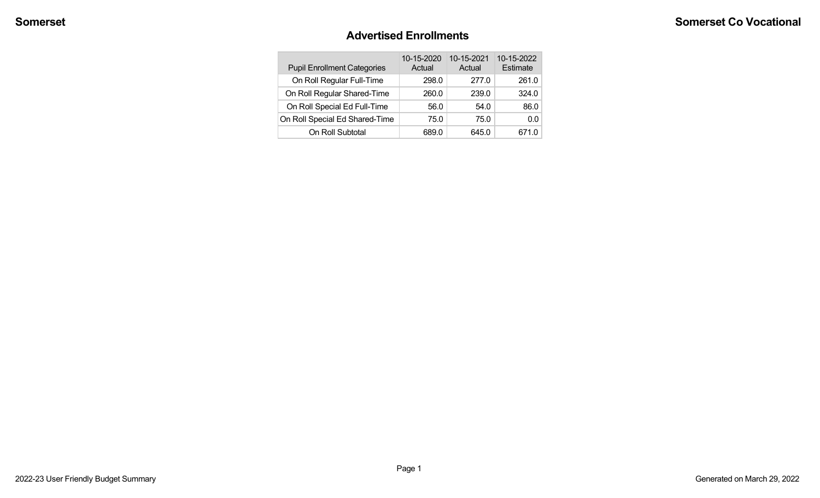#### **Advertised Enrollments**

| <b>Pupil Enrollment Categories</b> | 10-15-2020<br>Actual | 10-15-2021<br>Actual | 10-15-2022<br>Estimate |
|------------------------------------|----------------------|----------------------|------------------------|
| On Roll Regular Full-Time          | 298.0                | 277.0                | 261.0                  |
| On Roll Regular Shared-Time        | 260.0                | 239.0                | 324.0                  |
| On Roll Special Ed Full-Time       | 56.0                 | 54.0                 | 86.0                   |
| On Roll Special Ed Shared-Time     | 75.0                 | 75.0                 | 00                     |
| On Roll Subtotal                   | 689.0                | 645.0                | 671.0                  |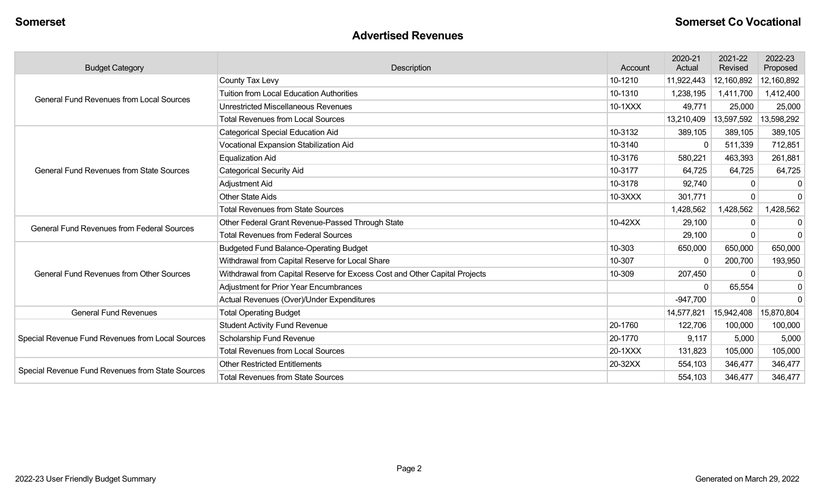#### **Advertised Revenues**

| <b>Budget Category</b>                            | Description                                                                | Account | 2020-21<br>Actual | 2021-22<br>Revised | 2022-23<br>Proposed |
|---------------------------------------------------|----------------------------------------------------------------------------|---------|-------------------|--------------------|---------------------|
|                                                   | County Tax Levy                                                            | 10-1210 | 11,922,443        | 12,160,892         | 12,160,892          |
| <b>General Fund Revenues from Local Sources</b>   | <b>Tuition from Local Education Authorities</b>                            | 10-1310 | 1,238,195         | 1,411,700          | 1,412,400           |
|                                                   | <b>Unrestricted Miscellaneous Revenues</b>                                 | 10-1XXX | 49,771            | 25,000             | 25,000              |
|                                                   | <b>Total Revenues from Local Sources</b>                                   |         | 13,210,409        | 13,597,592         | 13,598,292          |
|                                                   | <b>Categorical Special Education Aid</b>                                   | 10-3132 | 389,105           | 389,105            | 389,105             |
|                                                   | Vocational Expansion Stabilization Aid                                     | 10-3140 |                   | 511,339            | 712,851             |
|                                                   | <b>Equalization Aid</b>                                                    | 10-3176 | 580,221           | 463,393            | 261,881             |
| <b>General Fund Revenues from State Sources</b>   | <b>Categorical Security Aid</b>                                            | 10-3177 | 64,725            | 64,725             | 64,725              |
|                                                   | Adjustment Aid                                                             | 10-3178 | 92,740            | 0                  | 0                   |
|                                                   | <b>Other State Aids</b>                                                    | 10-3XXX | 301,771           | $\Omega$           | $\mathbf{0}$        |
|                                                   | <b>Total Revenues from State Sources</b>                                   |         | 1,428,562         | 1,428,562          | 1,428,562           |
| <b>General Fund Revenues from Federal Sources</b> | Other Federal Grant Revenue-Passed Through State                           | 10-42XX | 29,100            | 0                  | $\mathbf 0$         |
|                                                   | <b>Total Revenues from Federal Sources</b>                                 |         | 29,100            | $\Omega$           | $\mathbf 0$         |
|                                                   | <b>Budgeted Fund Balance-Operating Budget</b>                              | 10-303  | 650,000           | 650,000            | 650,000             |
|                                                   | Withdrawal from Capital Reserve for Local Share                            | 10-307  | $\Omega$          | 200,700            | 193,950             |
| <b>General Fund Revenues from Other Sources</b>   | Withdrawal from Capital Reserve for Excess Cost and Other Capital Projects | 10-309  | 207,450           | 0                  | $\mathbf 0$         |
|                                                   | <b>Adjustment for Prior Year Encumbrances</b>                              |         | <sup>0</sup>      | 65,554             | 0                   |
|                                                   | Actual Revenues (Over)/Under Expenditures                                  |         | $-947,700$        | $\Omega$           | $\mathbf 0$         |
| <b>General Fund Revenues</b>                      | <b>Total Operating Budget</b>                                              |         | 14,577,821        | 15,942,408         | 15,870,804          |
|                                                   | <b>Student Activity Fund Revenue</b>                                       | 20-1760 | 122,706           | 100,000            | 100,000             |
| Special Revenue Fund Revenues from Local Sources  | Scholarship Fund Revenue                                                   | 20-1770 | 9,117             | 5,000              | 5,000               |
|                                                   | <b>Total Revenues from Local Sources</b>                                   | 20-1XXX | 131,823           | 105,000            | 105,000             |
|                                                   | <b>Other Restricted Entitlements</b>                                       | 20-32XX | 554,103           | 346,477            | 346,477             |
| Special Revenue Fund Revenues from State Sources  | <b>Total Revenues from State Sources</b>                                   |         | 554,103           | 346,477            | 346,477             |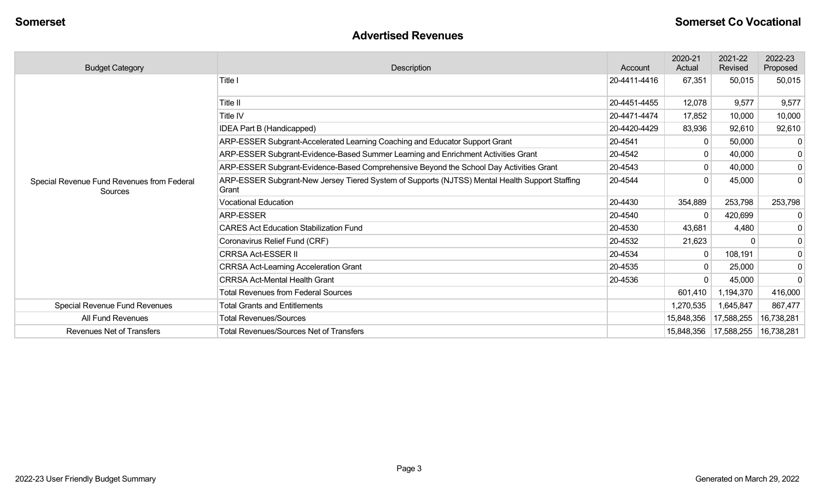#### **Advertised Revenues**

| <b>Budget Category</b>                                | Description                                                                                             | Account      | 2020-21<br>Actual       | 2021-22<br>Revised | 2022-23<br>Proposed |
|-------------------------------------------------------|---------------------------------------------------------------------------------------------------------|--------------|-------------------------|--------------------|---------------------|
|                                                       | Title I                                                                                                 | 20-4411-4416 | 67,351                  | 50,015             | 50,015              |
|                                                       | Title II                                                                                                | 20-4451-4455 | 12,078                  | 9,577              | 9,577               |
|                                                       | Title IV                                                                                                | 20-4471-4474 | 17,852                  | 10,000             | 10,000              |
|                                                       | IDEA Part B (Handicapped)                                                                               | 20-4420-4429 | 83,936                  | 92,610             | 92,610              |
|                                                       | ARP-ESSER Subgrant-Accelerated Learning Coaching and Educator Support Grant                             | 20-4541      | 0                       | 50,000             | $\overline{0}$      |
|                                                       | ARP-ESSER Subgrant-Evidence-Based Summer Learning and Enrichment Activities Grant                       | 20-4542      |                         | 40,000             | $\overline{0}$      |
|                                                       | ARP-ESSER Subgrant-Evidence-Based Comprehensive Beyond the School Day Activities Grant                  | 20-4543      |                         | 40,000             | $\overline{0}$      |
| Special Revenue Fund Revenues from Federal<br>Sources | ARP-ESSER Subgrant-New Jersey Tiered System of Supports (NJTSS) Mental Health Support Staffing<br>Grant | 20-4544      |                         | 45,000             | $\overline{0}$      |
|                                                       | <b>Vocational Education</b>                                                                             | 20-4430      | 354,889                 | 253,798            | 253,798             |
|                                                       | ARP-ESSER                                                                                               | 20-4540      | $\mathbf{0}$            | 420,699            | 0                   |
|                                                       | <b>CARES Act Education Stabilization Fund</b>                                                           | 20-4530      | 43,681                  | 4,480              | $\overline{0}$      |
|                                                       | Coronavirus Relief Fund (CRF)                                                                           | 20-4532      | 21,623                  |                    | $\overline{0}$      |
|                                                       | <b>CRRSA Act-ESSER II</b>                                                                               | 20-4534      | $\Omega$                | 108,191            | $\overline{0}$      |
|                                                       | <b>CRRSA Act-Learning Acceleration Grant</b>                                                            | 20-4535      |                         | 25,000             | $\overline{0}$      |
|                                                       | <b>CRRSA Act-Mental Health Grant</b>                                                                    | 20-4536      |                         | 45,000             | $\overline{0}$      |
|                                                       | <b>Total Revenues from Federal Sources</b>                                                              |              | 601,410                 | 1,194,370          | 416,000             |
| Special Revenue Fund Revenues                         | <b>Total Grants and Entitlements</b>                                                                    |              | 1,270,535               | 1,645,847          | 867,477             |
| <b>All Fund Revenues</b>                              | <b>Total Revenues/Sources</b>                                                                           |              | 15,848,356              | 17,588,255         | 16,738,281          |
| <b>Revenues Net of Transfers</b>                      | <b>Total Revenues/Sources Net of Transfers</b>                                                          |              | 15,848,356   17,588,255 |                    | 16,738,281          |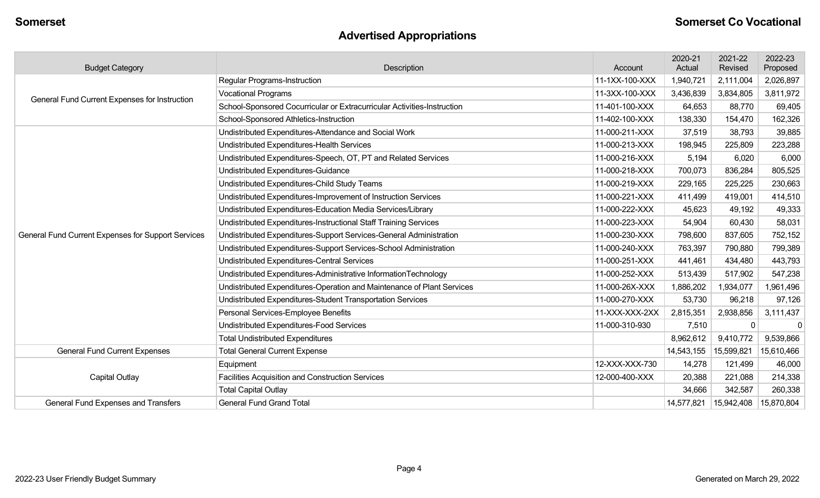# **Advertised Appropriations**

| <b>Budget Category</b>                             | Description                                                             | Account        | 2020-21<br>Actual | 2021-22<br>Revised | 2022-23<br>Proposed |
|----------------------------------------------------|-------------------------------------------------------------------------|----------------|-------------------|--------------------|---------------------|
|                                                    | <b>Regular Programs-Instruction</b>                                     | 11-1XX-100-XXX | 1,940,721         | 2,111,004          | 2,026,897           |
| General Fund Current Expenses for Instruction      | <b>Vocational Programs</b>                                              | 11-3XX-100-XXX | 3,436,839         | 3,834,805          | 3,811,972           |
|                                                    | School-Sponsored Cocurricular or Extracurricular Activities-Instruction | 11-401-100-XXX | 64,653            | 88,770             | 69,405              |
|                                                    | School-Sponsored Athletics-Instruction                                  | 11-402-100-XXX | 138,330           | 154,470            | 162,326             |
|                                                    | Undistributed Expenditures-Attendance and Social Work                   | 11-000-211-XXX | 37,519            | 38,793             | 39,885              |
|                                                    | Undistributed Expenditures-Health Services                              | 11-000-213-XXX | 198,945           | 225,809            | 223,288             |
|                                                    | Undistributed Expenditures-Speech, OT, PT and Related Services          | 11-000-216-XXX | 5,194             | 6,020              | 6,000               |
|                                                    | Undistributed Expenditures-Guidance                                     | 11-000-218-XXX | 700,073           | 836,284            | 805,525             |
|                                                    | Undistributed Expenditures-Child Study Teams                            | 11-000-219-XXX | 229,165           | 225,225            | 230,663             |
|                                                    | Undistributed Expenditures-Improvement of Instruction Services          | 11-000-221-XXX | 411,499           | 419,001            | 414,510             |
|                                                    | Undistributed Expenditures-Education Media Services/Library             | 11-000-222-XXX | 45,623            | 49,192             | 49,333              |
|                                                    | Undistributed Expenditures-Instructional Staff Training Services        | 11-000-223-XXX | 54,904            | 60,430             | 58,031              |
| General Fund Current Expenses for Support Services | Undistributed Expenditures-Support Services-General Administration      | 11-000-230-XXX | 798,600           | 837,605            | 752,152             |
|                                                    | Undistributed Expenditures-Support Services-School Administration       | 11-000-240-XXX | 763,397           | 790,880            | 799,389             |
|                                                    | Undistributed Expenditures-Central Services                             | 11-000-251-XXX | 441,461           | 434,480            | 443,793             |
|                                                    | Undistributed Expenditures-Administrative InformationTechnology         | 11-000-252-XXX | 513,439           | 517,902            | 547,238             |
|                                                    | Undistributed Expenditures-Operation and Maintenance of Plant Services  | 11-000-26X-XXX | 1,886,202         | 1,934,077          | 1,961,496           |
|                                                    | Undistributed Expenditures-Student Transportation Services              | 11-000-270-XXX | 53,730            | 96,218             | 97,126              |
|                                                    | Personal Services-Employee Benefits                                     | 11-XXX-XXX-2XX | 2,815,351         | 2,938,856          | 3,111,437           |
|                                                    | Undistributed Expenditures-Food Services                                | 11-000-310-930 | 7,510             |                    | $\mathbf 0$         |
|                                                    | <b>Total Undistributed Expenditures</b>                                 |                | 8,962,612         | 9,410,772          | 9,539,866           |
| <b>General Fund Current Expenses</b>               | <b>Total General Current Expense</b>                                    |                | 14,543,155        | 15,599,821         | 15,610,466          |
|                                                    | Equipment                                                               | 12-XXX-XXX-730 | 14,278            | 121,499            | 46,000              |
| <b>Capital Outlay</b>                              | Facilities Acquisition and Construction Services                        | 12-000-400-XXX | 20,388            | 221,088            | 214,338             |
|                                                    | <b>Total Capital Outlay</b>                                             |                | 34,666            | 342,587            | 260,338             |
| General Fund Expenses and Transfers                | <b>General Fund Grand Total</b>                                         |                | 14,577,821        | 15,942,408         | 15,870,804          |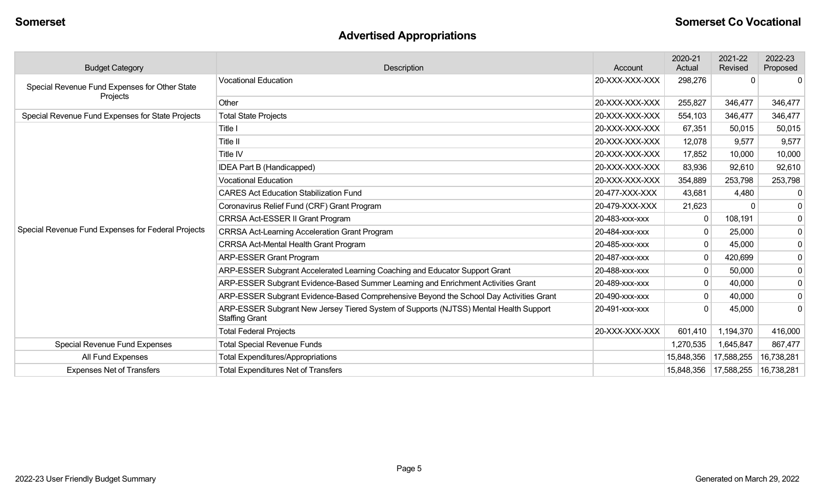# **Advertised Appropriations**

| <b>Budget Category</b>                             | Description                                                                                                    | Account        | 2020-21<br>Actual | 2021-22<br>Revised | 2022-23<br>Proposed |
|----------------------------------------------------|----------------------------------------------------------------------------------------------------------------|----------------|-------------------|--------------------|---------------------|
| Special Revenue Fund Expenses for Other State      | <b>Vocational Education</b>                                                                                    | 20-XXX-XXX-XXX | 298,276           | $\Omega$           | $\Omega$            |
| Projects                                           | Other                                                                                                          | 20-XXX-XXX-XXX | 255,827           | 346,477            | 346,477             |
| Special Revenue Fund Expenses for State Projects   | <b>Total State Projects</b>                                                                                    | 20-XXX-XXX-XXX | 554,103           | 346,477            | 346,477             |
|                                                    | Title I                                                                                                        | 20-XXX-XXX-XXX | 67,351            | 50,015             | 50,015              |
|                                                    | Title II                                                                                                       | 20-XXX-XXX-XXX | 12,078            | 9,577              | 9,577               |
|                                                    | Title IV                                                                                                       | 20-XXX-XXX-XXX | 17,852            | 10,000             | 10,000              |
|                                                    | IDEA Part B (Handicapped)                                                                                      | 20-XXX-XXX-XXX | 83,936            | 92,610             | 92,610              |
|                                                    | <b>Vocational Education</b>                                                                                    | 20-XXX-XXX-XXX | 354,889           | 253,798            | 253,798             |
|                                                    | <b>CARES Act Education Stabilization Fund</b>                                                                  | 20-477-XXX-XXX | 43,681            | 4,480              | $\mathbf 0$         |
|                                                    | Coronavirus Relief Fund (CRF) Grant Program                                                                    | 20-479-XXX-XXX | 21,623            |                    | $\mathbf 0$         |
|                                                    | CRRSA Act-ESSER II Grant Program                                                                               | 20-483-xxx-xxx | $\mathbf{0}$      | 108,191            | $\mathbf 0$         |
| Special Revenue Fund Expenses for Federal Projects | <b>CRRSA Act-Learning Acceleration Grant Program</b>                                                           | 20-484-xxx-xxx | 0                 | 25,000             | $\mathbf 0$         |
|                                                    | <b>CRRSA Act-Mental Health Grant Program</b>                                                                   | 20-485-xxx-xxx | $\mathbf{0}$      | 45,000             | $\mathbf 0$         |
|                                                    | <b>ARP-ESSER Grant Program</b>                                                                                 | 20-487-xxx-xxx | $\mathbf{0}$      | 420,699            | $\mathbf 0$         |
|                                                    | ARP-ESSER Subgrant Accelerated Learning Coaching and Educator Support Grant                                    | 20-488-xxx-xxx | 0                 | 50,000             | $\mathbf 0$         |
|                                                    | ARP-ESSER Subgrant Evidence-Based Summer Learning and Enrichment Activities Grant                              | 20-489-xxx-xxx | $\mathbf{0}$      | 40,000             | $\mathbf 0$         |
|                                                    | ARP-ESSER Subgrant Evidence-Based Comprehensive Beyond the School Day Activities Grant                         | 20-490-xxx-xxx | $\mathbf 0$       | 40,000             | $\mathbf 0$         |
|                                                    | ARP-ESSER Subgrant New Jersey Tiered System of Supports (NJTSS) Mental Health Support<br><b>Staffing Grant</b> | 20-491-xxx-xxx | $\Omega$          | 45,000             | $\mathbf 0$         |
|                                                    | <b>Total Federal Projects</b>                                                                                  | 20-XXX-XXX-XXX | 601,410           | 1,194,370          | 416,000             |
| <b>Special Revenue Fund Expenses</b>               | <b>Total Special Revenue Funds</b>                                                                             |                | 1,270,535         | 1,645,847          | 867,477             |
| All Fund Expenses                                  | <b>Total Expenditures/Appropriations</b>                                                                       |                | 15,848,356        | 17,588,255         | 16,738,281          |
| <b>Expenses Net of Transfers</b>                   | <b>Total Expenditures Net of Transfers</b>                                                                     |                | 15,848,356        | 17,588,255         | 16,738,281          |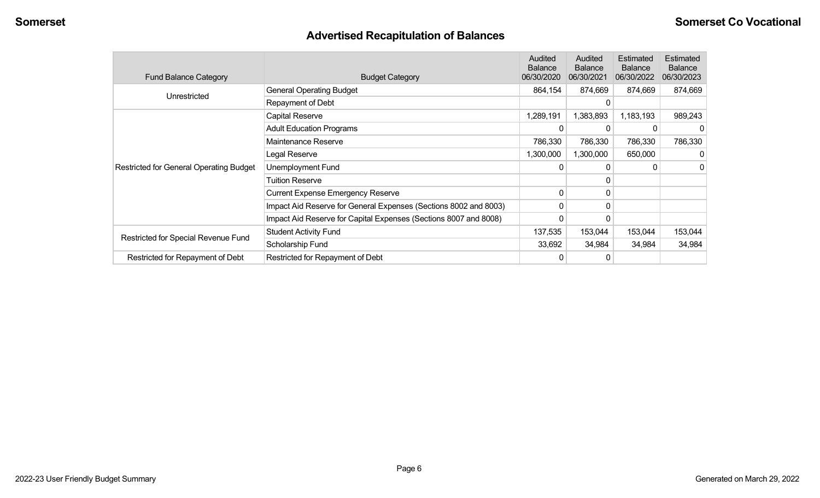# **Advertised Recapitulation of Balances**

| <b>Fund Balance Category</b>                   | <b>Budget Category</b>                                           | Audited<br><b>Balance</b><br>06/30/2020 | Audited<br><b>Balance</b><br>06/30/2021 | Estimated<br><b>Balance</b><br>06/30/2022 | Estimated<br><b>Balance</b><br>06/30/2023 |
|------------------------------------------------|------------------------------------------------------------------|-----------------------------------------|-----------------------------------------|-------------------------------------------|-------------------------------------------|
| Unrestricted                                   | <b>General Operating Budget</b>                                  | 864,154                                 | 874,669                                 | 874,669                                   | 874,669                                   |
|                                                | Repayment of Debt                                                |                                         |                                         |                                           |                                           |
|                                                | Capital Reserve                                                  | 1,289,191                               | 1,383,893                               | 1,183,193                                 | 989,243                                   |
|                                                | <b>Adult Education Programs</b>                                  |                                         |                                         |                                           | 0                                         |
|                                                | Maintenance Reserve                                              | 786,330                                 | 786,330                                 | 786,330                                   | 786,330                                   |
|                                                | Legal Reserve                                                    | 1,300,000                               | 1,300,000                               | 650,000                                   | $\Omega$                                  |
| <b>Restricted for General Operating Budget</b> | Unemployment Fund                                                | 0                                       |                                         |                                           | $\Omega$                                  |
|                                                | Tuition Reserve                                                  |                                         | 0                                       |                                           |                                           |
|                                                | <b>Current Expense Emergency Reserve</b>                         | $\mathbf 0$                             | 0                                       |                                           |                                           |
|                                                | Impact Aid Reserve for General Expenses (Sections 8002 and 8003) | 0                                       | 0                                       |                                           |                                           |
|                                                | Impact Aid Reserve for Capital Expenses (Sections 8007 and 8008) | 0                                       |                                         |                                           |                                           |
|                                                | <b>Student Activity Fund</b>                                     | 137,535                                 | 153,044                                 | 153,044                                   | 153,044                                   |
| Restricted for Special Revenue Fund            | Scholarship Fund                                                 | 33,692                                  | 34,984                                  | 34,984                                    | 34,984                                    |
| Restricted for Repayment of Debt               | Restricted for Repayment of Debt                                 |                                         |                                         |                                           |                                           |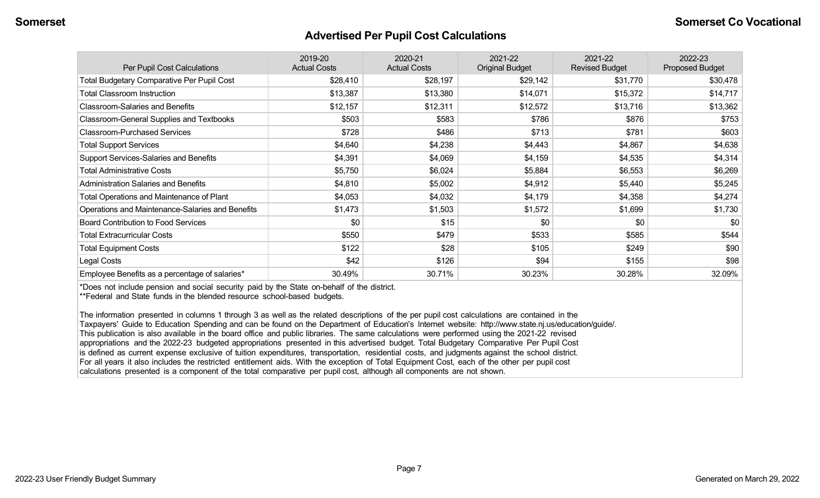#### **Advertised Per Pupil Cost Calculations**

| Per Pupil Cost Calculations                       | 2019-20<br><b>Actual Costs</b> | 2020-21<br><b>Actual Costs</b> | 2021-22<br><b>Original Budget</b> | 2021-22<br><b>Revised Budget</b> | 2022-23<br><b>Proposed Budget</b> |
|---------------------------------------------------|--------------------------------|--------------------------------|-----------------------------------|----------------------------------|-----------------------------------|
| <b>Total Budgetary Comparative Per Pupil Cost</b> | \$28,410                       | \$28,197                       | \$29,142                          | \$31,770                         | \$30,478                          |
| <b>Total Classroom Instruction</b>                | \$13,387                       | \$13,380                       | \$14,071                          | \$15,372                         | \$14,717                          |
| <b>Classroom-Salaries and Benefits</b>            | \$12,157                       | \$12,311                       | \$12,572                          | \$13,716                         | \$13,362                          |
| Classroom-General Supplies and Textbooks          | \$503                          | \$583                          | \$786                             | \$876                            | \$753                             |
| <b>Classroom-Purchased Services</b>               | \$728                          | \$486                          | \$713                             | \$781                            | \$603                             |
| <b>Total Support Services</b>                     | \$4,640                        | \$4,238                        | \$4,443                           | \$4,867                          | \$4,638                           |
| Support Services-Salaries and Benefits            | \$4,391                        | \$4,069                        | \$4,159                           | \$4,535                          | \$4,314                           |
| <b>Total Administrative Costs</b>                 | \$5,750                        | \$6,024                        | \$5,884                           | \$6,553                          | \$6,269                           |
| <b>Administration Salaries and Benefits</b>       | \$4,810                        | \$5,002                        | \$4,912                           | \$5,440                          | \$5,245                           |
| Total Operations and Maintenance of Plant         | \$4,053                        | \$4,032                        | \$4,179                           | \$4,358                          | \$4,274                           |
| Operations and Maintenance-Salaries and Benefits  | \$1,473                        | \$1,503                        | \$1,572                           | \$1,699                          | \$1,730                           |
| <b>Board Contribution to Food Services</b>        | \$0                            | \$15                           | \$0                               | \$0                              | \$0                               |
| <b>Total Extracurricular Costs</b>                | \$550                          | \$479                          | \$533                             | \$585                            | \$544                             |
| <b>Total Equipment Costs</b>                      | \$122                          | \$28                           | \$105                             | \$249                            | \$90                              |
| Legal Costs                                       | \$42                           | \$126                          | \$94                              | \$155                            | \$98                              |
| Employee Benefits as a percentage of salaries*    | 30.49%                         | 30.71%                         | 30.23%                            | 30.28%                           | 32.09%                            |

\*Does not include pension and social security paid by the State on-behalf of the district.

\*\*Federal and State funds in the blended resource school-based budgets.

The information presented in columns 1 through 3 as well as the related descriptions of the per pupil cost calculations are contained in the Taxpayers' Guide to Education Spending and can be found on the Department of Education's Internet website: http://www.state.nj.us/education/guide/. This publication is also available in the board office and public libraries. The same calculations were performed using the 2021-22 revised appropriations and the 2022-23 budgeted appropriations presented in this advertised budget. Total Budgetary Comparative Per Pupil Cost is defined as current expense exclusive of tuition expenditures, transportation, residential costs, and judgments against the school district. For all years it also includes the restricted entitlement aids. With the exception of Total Equipment Cost, each of the other per pupil cost calculations presented is a component of the total comparative per pupil cost, although all components are not shown.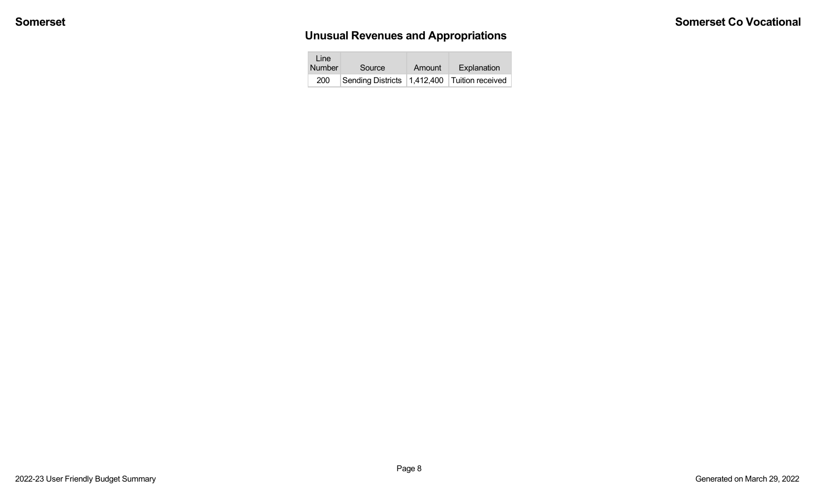# **Unusual Revenues and Appropriations**

| Line<br>Number | Source                                           | Amount | Explanation |
|----------------|--------------------------------------------------|--------|-------------|
| 200            | Sending Districts   1,412,400   Tuition received |        |             |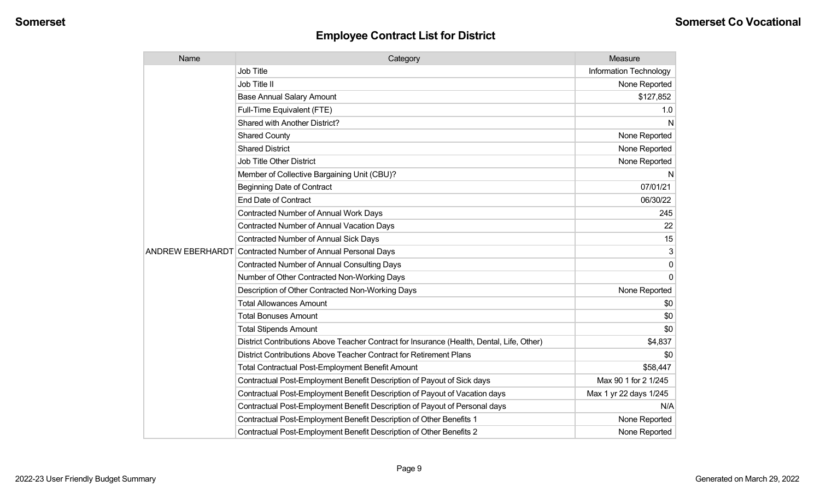| Name | Category                                                                                  | Measure                       |
|------|-------------------------------------------------------------------------------------------|-------------------------------|
|      | Job Title                                                                                 | <b>Information Technology</b> |
|      | Job Title II                                                                              | None Reported                 |
|      | <b>Base Annual Salary Amount</b>                                                          | \$127,852                     |
|      | Full-Time Equivalent (FTE)                                                                | 1.0                           |
|      | Shared with Another District?                                                             | N                             |
|      | <b>Shared County</b>                                                                      | None Reported                 |
|      | <b>Shared District</b>                                                                    | None Reported                 |
|      | <b>Job Title Other District</b>                                                           | None Reported                 |
|      | Member of Collective Bargaining Unit (CBU)?                                               | N                             |
|      | <b>Beginning Date of Contract</b>                                                         | 07/01/21                      |
|      | <b>End Date of Contract</b>                                                               | 06/30/22                      |
|      | <b>Contracted Number of Annual Work Days</b>                                              | 245                           |
|      | Contracted Number of Annual Vacation Days                                                 | 22                            |
|      | Contracted Number of Annual Sick Days                                                     | 15                            |
|      | ANDREW EBERHARDT Contracted Number of Annual Personal Days                                | 3                             |
|      | <b>Contracted Number of Annual Consulting Days</b>                                        | $\mathbf 0$                   |
|      | Number of Other Contracted Non-Working Days                                               | $\Omega$                      |
|      | Description of Other Contracted Non-Working Days                                          | None Reported                 |
|      | <b>Total Allowances Amount</b>                                                            | \$0                           |
|      | <b>Total Bonuses Amount</b>                                                               | \$0                           |
|      | <b>Total Stipends Amount</b>                                                              | \$0                           |
|      | District Contributions Above Teacher Contract for Insurance (Health, Dental, Life, Other) | \$4,837                       |
|      | District Contributions Above Teacher Contract for Retirement Plans                        | \$0                           |
|      | <b>Total Contractual Post-Employment Benefit Amount</b>                                   | \$58,447                      |
|      | Contractual Post-Employment Benefit Description of Payout of Sick days                    | Max 90 1 for 2 1/245          |
|      | Contractual Post-Employment Benefit Description of Payout of Vacation days                | Max 1 yr 22 days 1/245        |
|      | Contractual Post-Employment Benefit Description of Payout of Personal days                | N/A                           |
|      | Contractual Post-Employment Benefit Description of Other Benefits 1                       | None Reported                 |
|      | Contractual Post-Employment Benefit Description of Other Benefits 2                       | None Reported                 |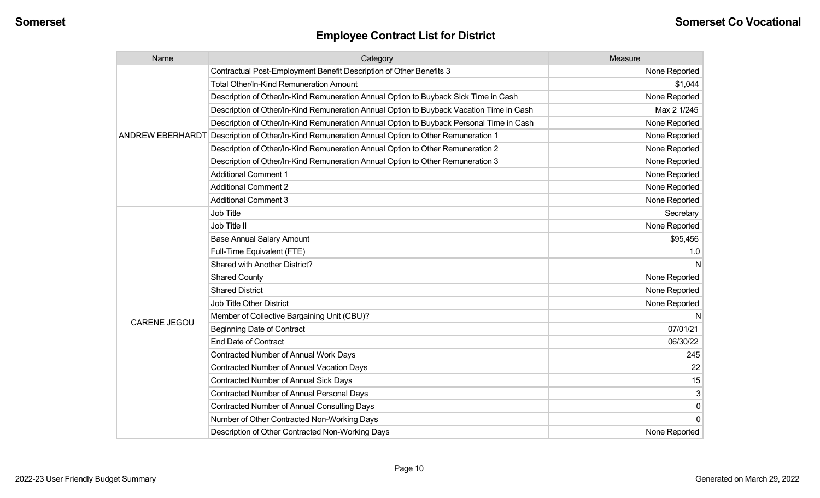| Name                    | Category                                                                                 | Measure       |
|-------------------------|------------------------------------------------------------------------------------------|---------------|
|                         | Contractual Post-Employment Benefit Description of Other Benefits 3                      | None Reported |
|                         | <b>Total Other/In-Kind Remuneration Amount</b>                                           | \$1,044       |
|                         | Description of Other/In-Kind Remuneration Annual Option to Buyback Sick Time in Cash     | None Reported |
|                         | Description of Other/In-Kind Remuneration Annual Option to Buyback Vacation Time in Cash | Max 2 1/245   |
|                         | Description of Other/In-Kind Remuneration Annual Option to Buyback Personal Time in Cash | None Reported |
| <b>ANDREW EBERHARDT</b> | Description of Other/In-Kind Remuneration Annual Option to Other Remuneration 1          | None Reported |
|                         | Description of Other/In-Kind Remuneration Annual Option to Other Remuneration 2          | None Reported |
|                         | Description of Other/In-Kind Remuneration Annual Option to Other Remuneration 3          | None Reported |
|                         | <b>Additional Comment 1</b>                                                              | None Reported |
|                         | <b>Additional Comment 2</b>                                                              | None Reported |
|                         | <b>Additional Comment 3</b>                                                              | None Reported |
|                         | Job Title                                                                                | Secretary     |
|                         | Job Title II                                                                             | None Reported |
|                         | <b>Base Annual Salary Amount</b>                                                         | \$95,456      |
|                         | Full-Time Equivalent (FTE)                                                               | 1.0           |
|                         | Shared with Another District?                                                            |               |
|                         | <b>Shared County</b>                                                                     | None Reported |
|                         | <b>Shared District</b>                                                                   | None Reported |
|                         | <b>Job Title Other District</b>                                                          | None Reported |
| <b>CARENE JEGOU</b>     | Member of Collective Bargaining Unit (CBU)?                                              |               |
|                         | <b>Beginning Date of Contract</b>                                                        | 07/01/21      |
|                         | <b>End Date of Contract</b>                                                              | 06/30/22      |
|                         | <b>Contracted Number of Annual Work Days</b>                                             | 245           |
|                         | <b>Contracted Number of Annual Vacation Days</b>                                         | 22            |
|                         | Contracted Number of Annual Sick Days                                                    | 15            |
|                         | Contracted Number of Annual Personal Days                                                | 3             |
|                         | <b>Contracted Number of Annual Consulting Days</b>                                       | 0             |
|                         | Number of Other Contracted Non-Working Days                                              | $\Omega$      |
|                         | Description of Other Contracted Non-Working Days                                         | None Reported |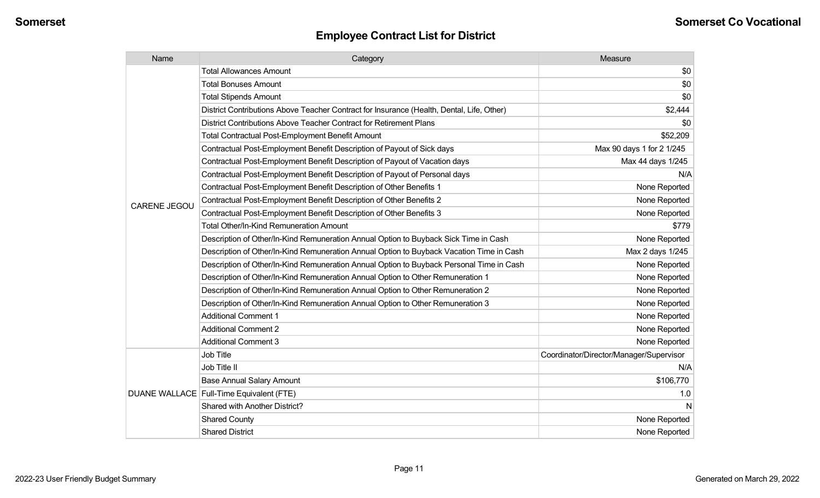| Name                | Category                                                                                  | Measure                                 |
|---------------------|-------------------------------------------------------------------------------------------|-----------------------------------------|
|                     | <b>Total Allowances Amount</b>                                                            | \$0                                     |
|                     | <b>Total Bonuses Amount</b>                                                               | \$0                                     |
|                     | <b>Total Stipends Amount</b>                                                              | \$0                                     |
|                     | District Contributions Above Teacher Contract for Insurance (Health, Dental, Life, Other) | \$2,444                                 |
|                     | District Contributions Above Teacher Contract for Retirement Plans                        | \$0                                     |
|                     | <b>Total Contractual Post-Employment Benefit Amount</b>                                   | \$52,209                                |
|                     | Contractual Post-Employment Benefit Description of Payout of Sick days                    | Max 90 days 1 for 2 1/245               |
|                     | Contractual Post-Employment Benefit Description of Payout of Vacation days                | Max 44 days 1/245                       |
|                     | Contractual Post-Employment Benefit Description of Payout of Personal days                | N/A                                     |
|                     | Contractual Post-Employment Benefit Description of Other Benefits 1                       | None Reported                           |
| <b>CARENE JEGOU</b> | Contractual Post-Employment Benefit Description of Other Benefits 2                       | None Reported                           |
|                     | Contractual Post-Employment Benefit Description of Other Benefits 3                       | None Reported                           |
|                     | <b>Total Other/In-Kind Remuneration Amount</b>                                            | \$779                                   |
|                     | Description of Other/In-Kind Remuneration Annual Option to Buyback Sick Time in Cash      | None Reported                           |
|                     | Description of Other/In-Kind Remuneration Annual Option to Buyback Vacation Time in Cash  | Max 2 days 1/245                        |
|                     | Description of Other/In-Kind Remuneration Annual Option to Buyback Personal Time in Cash  | None Reported                           |
|                     | Description of Other/In-Kind Remuneration Annual Option to Other Remuneration 1           | None Reported                           |
|                     | Description of Other/In-Kind Remuneration Annual Option to Other Remuneration 2           | None Reported                           |
|                     | Description of Other/In-Kind Remuneration Annual Option to Other Remuneration 3           | None Reported                           |
|                     | <b>Additional Comment 1</b>                                                               | None Reported                           |
|                     | <b>Additional Comment 2</b>                                                               | None Reported                           |
|                     | <b>Additional Comment 3</b>                                                               | None Reported                           |
|                     | Job Title                                                                                 | Coordinator/Director/Manager/Supervisor |
|                     | Job Title II                                                                              | N/A                                     |
|                     | <b>Base Annual Salary Amount</b>                                                          | \$106,770                               |
|                     | DUANE WALLACE Full-Time Equivalent (FTE)                                                  | 1.0                                     |
|                     | Shared with Another District?                                                             | N                                       |
|                     | <b>Shared County</b>                                                                      | None Reported                           |
|                     | <b>Shared District</b>                                                                    | None Reported                           |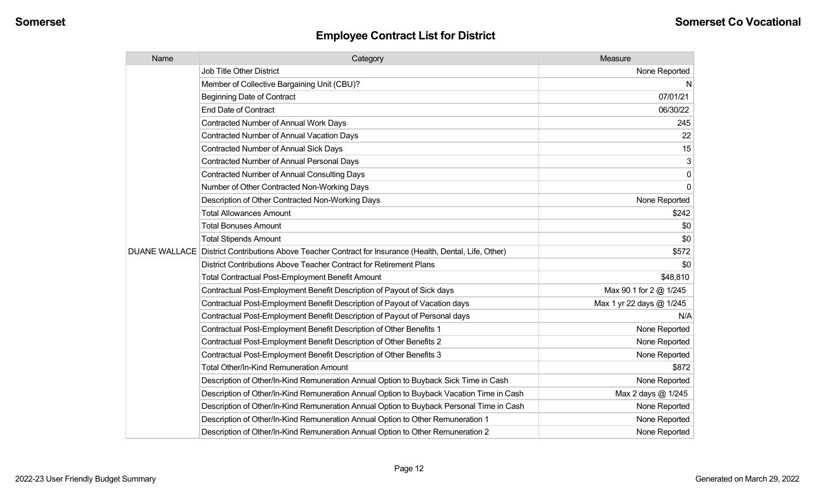| Name | Category                                                                                                | Measure                  |
|------|---------------------------------------------------------------------------------------------------------|--------------------------|
|      | Job Title Other District                                                                                | None Reported            |
|      | Member of Collective Bargaining Unit (CBU)?                                                             | N                        |
|      | <b>Beginning Date of Contract</b>                                                                       | 07/01/21                 |
|      | <b>End Date of Contract</b>                                                                             | 06/30/22                 |
|      | Contracted Number of Annual Work Days                                                                   | 245                      |
|      | Contracted Number of Annual Vacation Days                                                               | 22                       |
|      | <b>Contracted Number of Annual Sick Days</b>                                                            | 15                       |
|      | Contracted Number of Annual Personal Days                                                               | 3                        |
|      | <b>Contracted Number of Annual Consulting Days</b>                                                      | $\pmb{0}$                |
|      | Number of Other Contracted Non-Working Days                                                             | $\overline{0}$           |
|      | Description of Other Contracted Non-Working Days                                                        | None Reported            |
|      | <b>Total Allowances Amount</b>                                                                          | \$242                    |
|      | <b>Total Bonuses Amount</b>                                                                             | \$0                      |
|      | <b>Total Stipends Amount</b>                                                                            | \$0                      |
|      | DUANE WALLACE District Contributions Above Teacher Contract for Insurance (Health, Dental, Life, Other) | \$572                    |
|      | District Contributions Above Teacher Contract for Retirement Plans                                      | \$0                      |
|      | <b>Total Contractual Post-Employment Benefit Amount</b>                                                 | \$48,810                 |
|      | Contractual Post-Employment Benefit Description of Payout of Sick days                                  | Max 90 1 for 2 @ 1/245   |
|      | Contractual Post-Employment Benefit Description of Payout of Vacation days                              | Max 1 yr 22 days @ 1/245 |
|      | Contractual Post-Employment Benefit Description of Payout of Personal days                              | N/A                      |
|      | Contractual Post-Employment Benefit Description of Other Benefits 1                                     | None Reported            |
|      | Contractual Post-Employment Benefit Description of Other Benefits 2                                     | None Reported            |
|      | Contractual Post-Employment Benefit Description of Other Benefits 3                                     | None Reported            |
|      | Total Other/In-Kind Remuneration Amount                                                                 | \$872                    |
|      | Description of Other/In-Kind Remuneration Annual Option to Buyback Sick Time in Cash                    | None Reported            |
|      | Description of Other/In-Kind Remuneration Annual Option to Buyback Vacation Time in Cash                | Max 2 days @ 1/245       |
|      | Description of Other/In-Kind Remuneration Annual Option to Buyback Personal Time in Cash                | None Reported            |
|      | Description of Other/In-Kind Remuneration Annual Option to Other Remuneration 1                         | None Reported            |
|      | Description of Other/In-Kind Remuneration Annual Option to Other Remuneration 2                         | None Reported            |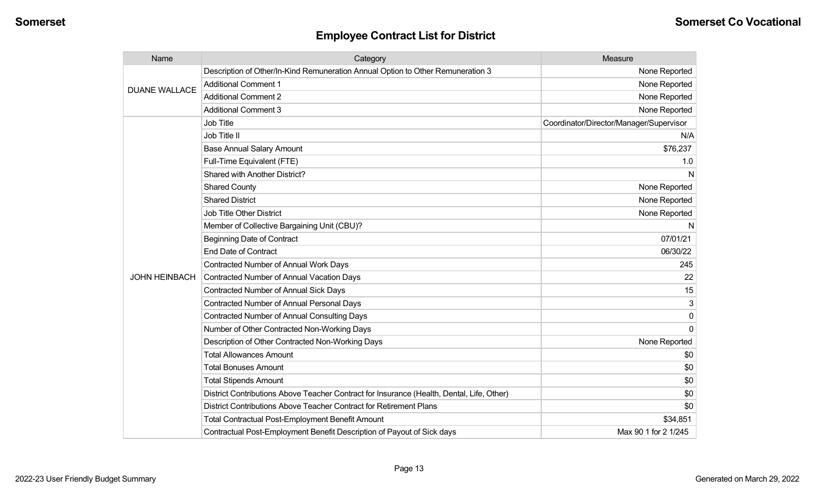| Name                 | Category                                                                                  | Measure                                 |
|----------------------|-------------------------------------------------------------------------------------------|-----------------------------------------|
| <b>DUANE WALLACE</b> | Description of Other/In-Kind Remuneration Annual Option to Other Remuneration 3           | None Reported                           |
|                      | <b>Additional Comment 1</b>                                                               | None Reported                           |
|                      | <b>Additional Comment 2</b>                                                               | None Reported                           |
|                      | <b>Additional Comment 3</b>                                                               | None Reported                           |
|                      | <b>Job Title</b>                                                                          | Coordinator/Director/Manager/Supervisor |
|                      | Job Title II                                                                              | N/A                                     |
|                      | <b>Base Annual Salary Amount</b>                                                          | \$76,237                                |
|                      | Full-Time Equivalent (FTE)                                                                | 1.0                                     |
|                      | Shared with Another District?                                                             | N                                       |
|                      | <b>Shared County</b>                                                                      | None Reported                           |
|                      | <b>Shared District</b>                                                                    | None Reported                           |
|                      | <b>Job Title Other District</b>                                                           | None Reported                           |
|                      | Member of Collective Bargaining Unit (CBU)?                                               | N                                       |
|                      | <b>Beginning Date of Contract</b>                                                         | 07/01/21                                |
|                      | <b>End Date of Contract</b>                                                               | 06/30/22                                |
|                      | <b>Contracted Number of Annual Work Days</b>                                              | 245                                     |
| <b>JOHN HEINBACH</b> | <b>Contracted Number of Annual Vacation Days</b>                                          | 22                                      |
|                      | <b>Contracted Number of Annual Sick Days</b>                                              | 15                                      |
|                      | <b>Contracted Number of Annual Personal Days</b>                                          | 3                                       |
|                      | <b>Contracted Number of Annual Consulting Days</b>                                        | 0                                       |
|                      | Number of Other Contracted Non-Working Days                                               | $\Omega$                                |
|                      | Description of Other Contracted Non-Working Days                                          | None Reported                           |
|                      | <b>Total Allowances Amount</b>                                                            | \$0                                     |
|                      | <b>Total Bonuses Amount</b>                                                               | \$0                                     |
|                      | <b>Total Stipends Amount</b>                                                              | \$0                                     |
|                      | District Contributions Above Teacher Contract for Insurance (Health, Dental, Life, Other) | \$0                                     |
|                      | District Contributions Above Teacher Contract for Retirement Plans                        | \$0                                     |
|                      | <b>Total Contractual Post-Employment Benefit Amount</b>                                   | \$34,851                                |
|                      | Contractual Post-Employment Benefit Description of Payout of Sick days                    | Max 90 1 for 2 1/245                    |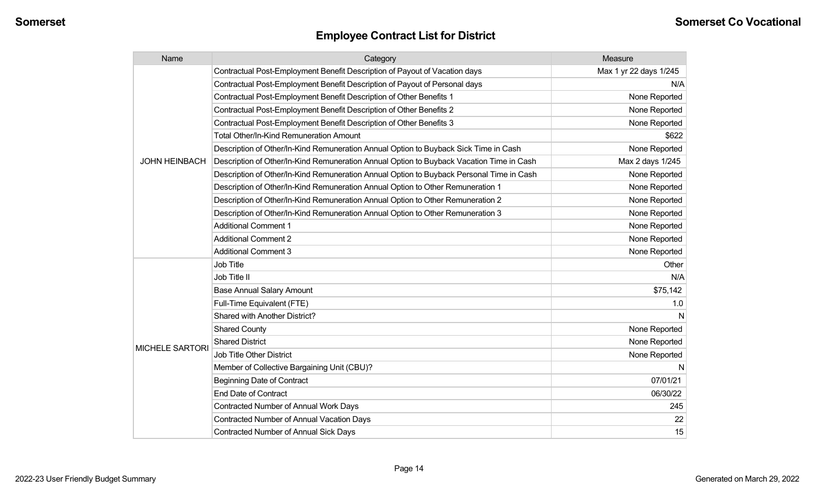| Name                   | Category                                                                                 | Measure                |
|------------------------|------------------------------------------------------------------------------------------|------------------------|
|                        | Contractual Post-Employment Benefit Description of Payout of Vacation days               | Max 1 yr 22 days 1/245 |
|                        | Contractual Post-Employment Benefit Description of Payout of Personal days               | N/A                    |
|                        | Contractual Post-Employment Benefit Description of Other Benefits 1                      | None Reported          |
|                        | Contractual Post-Employment Benefit Description of Other Benefits 2                      | None Reported          |
|                        | Contractual Post-Employment Benefit Description of Other Benefits 3                      | None Reported          |
|                        | <b>Total Other/In-Kind Remuneration Amount</b>                                           | \$622                  |
|                        | Description of Other/In-Kind Remuneration Annual Option to Buyback Sick Time in Cash     | None Reported          |
| <b>JOHN HEINBACH</b>   | Description of Other/In-Kind Remuneration Annual Option to Buyback Vacation Time in Cash | Max 2 days 1/245       |
|                        | Description of Other/In-Kind Remuneration Annual Option to Buyback Personal Time in Cash | None Reported          |
|                        | Description of Other/In-Kind Remuneration Annual Option to Other Remuneration 1          | None Reported          |
|                        | Description of Other/In-Kind Remuneration Annual Option to Other Remuneration 2          | None Reported          |
|                        | Description of Other/In-Kind Remuneration Annual Option to Other Remuneration 3          | None Reported          |
|                        | <b>Additional Comment 1</b>                                                              | None Reported          |
|                        | <b>Additional Comment 2</b>                                                              | None Reported          |
|                        | <b>Additional Comment 3</b>                                                              | None Reported          |
|                        | Job Title                                                                                | Other                  |
|                        | Job Title II                                                                             | N/A                    |
|                        | <b>Base Annual Salary Amount</b>                                                         | \$75,142               |
|                        | Full-Time Equivalent (FTE)                                                               | 1.0                    |
|                        | Shared with Another District?                                                            | N                      |
|                        | <b>Shared County</b>                                                                     | None Reported          |
|                        | <b>Shared District</b>                                                                   | None Reported          |
| <b>MICHELE SARTORI</b> | <b>Job Title Other District</b>                                                          | None Reported          |
|                        | Member of Collective Bargaining Unit (CBU)?                                              | N                      |
|                        | <b>Beginning Date of Contract</b>                                                        | 07/01/21               |
|                        | <b>End Date of Contract</b>                                                              | 06/30/22               |
|                        | Contracted Number of Annual Work Days                                                    | 245                    |
|                        | Contracted Number of Annual Vacation Days                                                | 22                     |
|                        | Contracted Number of Annual Sick Days                                                    | 15                     |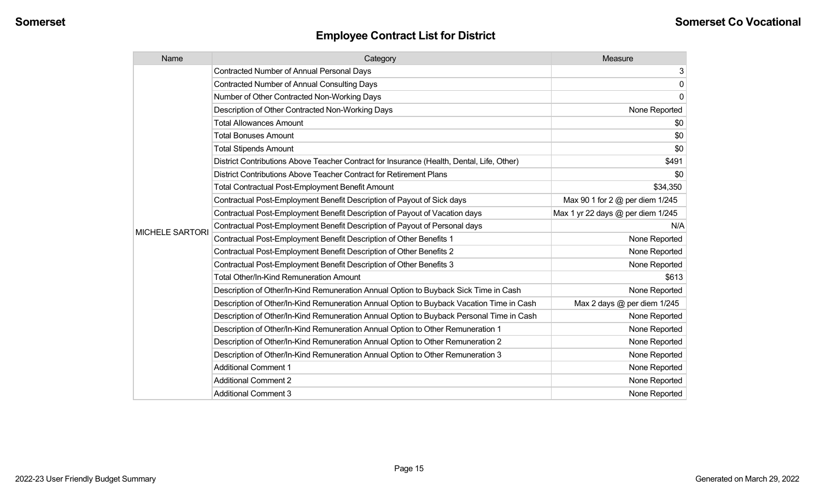| Name                   | Category                                                                                  | Measure                           |
|------------------------|-------------------------------------------------------------------------------------------|-----------------------------------|
|                        | <b>Contracted Number of Annual Personal Days</b>                                          | 3                                 |
|                        | <b>Contracted Number of Annual Consulting Days</b>                                        | $\mathbf 0$                       |
|                        | Number of Other Contracted Non-Working Days                                               | 0                                 |
|                        | Description of Other Contracted Non-Working Days                                          | None Reported                     |
|                        | <b>Total Allowances Amount</b>                                                            | \$0                               |
|                        | <b>Total Bonuses Amount</b>                                                               | \$0                               |
|                        | <b>Total Stipends Amount</b>                                                              | \$0                               |
|                        | District Contributions Above Teacher Contract for Insurance (Health, Dental, Life, Other) | \$491                             |
|                        | District Contributions Above Teacher Contract for Retirement Plans                        | \$0                               |
|                        | <b>Total Contractual Post-Employment Benefit Amount</b>                                   | \$34,350                          |
|                        | Contractual Post-Employment Benefit Description of Payout of Sick days                    | Max 90 1 for 2 @ per diem 1/245   |
|                        | Contractual Post-Employment Benefit Description of Payout of Vacation days                | Max 1 yr 22 days @ per diem 1/245 |
| <b>MICHELE SARTORI</b> | Contractual Post-Employment Benefit Description of Payout of Personal days                | N/A                               |
|                        | Contractual Post-Employment Benefit Description of Other Benefits 1                       | None Reported                     |
|                        | Contractual Post-Employment Benefit Description of Other Benefits 2                       | None Reported                     |
|                        | Contractual Post-Employment Benefit Description of Other Benefits 3                       | None Reported                     |
|                        | Total Other/In-Kind Remuneration Amount                                                   | \$613                             |
|                        | Description of Other/In-Kind Remuneration Annual Option to Buyback Sick Time in Cash      | None Reported                     |
|                        | Description of Other/In-Kind Remuneration Annual Option to Buyback Vacation Time in Cash  | Max 2 days @ per diem 1/245       |
|                        | Description of Other/In-Kind Remuneration Annual Option to Buyback Personal Time in Cash  | None Reported                     |
|                        | Description of Other/In-Kind Remuneration Annual Option to Other Remuneration 1           | None Reported                     |
|                        | Description of Other/In-Kind Remuneration Annual Option to Other Remuneration 2           | None Reported                     |
|                        | Description of Other/In-Kind Remuneration Annual Option to Other Remuneration 3           | None Reported                     |
|                        | <b>Additional Comment 1</b>                                                               | None Reported                     |
|                        | <b>Additional Comment 2</b>                                                               | None Reported                     |
|                        | <b>Additional Comment 3</b>                                                               | None Reported                     |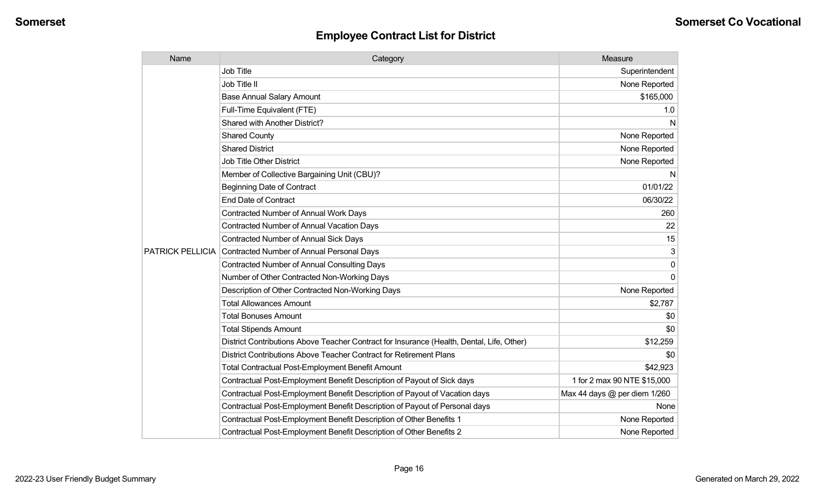| Name                    | Category                                                                                  | Measure                      |
|-------------------------|-------------------------------------------------------------------------------------------|------------------------------|
|                         | Job Title                                                                                 | Superintendent               |
|                         | Job Title II                                                                              | None Reported                |
|                         | <b>Base Annual Salary Amount</b>                                                          | \$165,000                    |
|                         | Full-Time Equivalent (FTE)                                                                | 1.0                          |
|                         | Shared with Another District?                                                             | N                            |
|                         | <b>Shared County</b>                                                                      | None Reported                |
|                         | <b>Shared District</b>                                                                    | None Reported                |
|                         | <b>Job Title Other District</b>                                                           | None Reported                |
|                         | Member of Collective Bargaining Unit (CBU)?                                               | N                            |
|                         | <b>Beginning Date of Contract</b>                                                         | 01/01/22                     |
|                         | <b>End Date of Contract</b>                                                               | 06/30/22                     |
|                         | <b>Contracted Number of Annual Work Days</b>                                              | 260                          |
|                         | <b>Contracted Number of Annual Vacation Days</b>                                          | 22                           |
|                         | <b>Contracted Number of Annual Sick Days</b>                                              | 15                           |
| <b>PATRICK PELLICIA</b> | Contracted Number of Annual Personal Days                                                 | 3                            |
|                         | <b>Contracted Number of Annual Consulting Days</b>                                        | $\mathbf{0}$                 |
|                         | Number of Other Contracted Non-Working Days                                               | $\Omega$                     |
|                         | Description of Other Contracted Non-Working Days                                          | None Reported                |
|                         | <b>Total Allowances Amount</b>                                                            | \$2,787                      |
|                         | <b>Total Bonuses Amount</b>                                                               | \$0                          |
|                         | <b>Total Stipends Amount</b>                                                              | \$0                          |
|                         | District Contributions Above Teacher Contract for Insurance (Health, Dental, Life, Other) | \$12,259                     |
|                         | District Contributions Above Teacher Contract for Retirement Plans                        | \$0                          |
|                         | <b>Total Contractual Post-Employment Benefit Amount</b>                                   | \$42,923                     |
|                         | Contractual Post-Employment Benefit Description of Payout of Sick days                    | 1 for 2 max 90 NTE \$15,000  |
|                         | Contractual Post-Employment Benefit Description of Payout of Vacation days                | Max 44 days @ per diem 1/260 |
|                         | Contractual Post-Employment Benefit Description of Payout of Personal days                | None                         |
|                         | Contractual Post-Employment Benefit Description of Other Benefits 1                       | None Reported                |
|                         | Contractual Post-Employment Benefit Description of Other Benefits 2                       | None Reported                |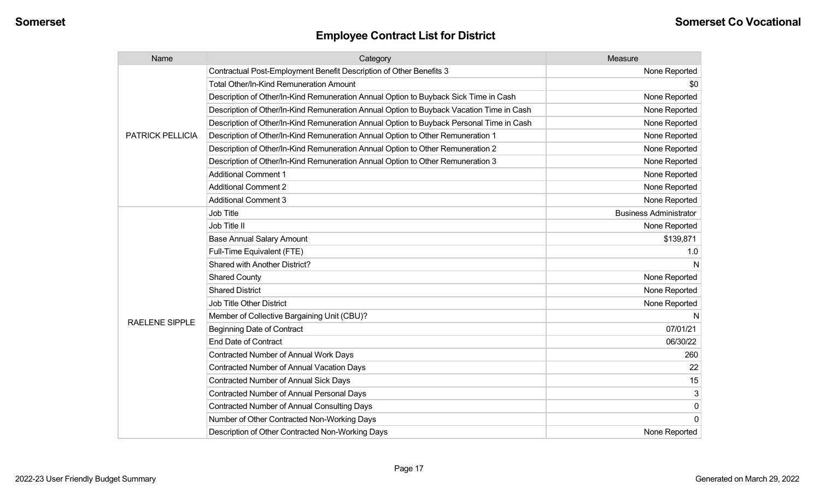| Name                    | Category                                                                                 | Measure                       |
|-------------------------|------------------------------------------------------------------------------------------|-------------------------------|
|                         | Contractual Post-Employment Benefit Description of Other Benefits 3                      | None Reported                 |
|                         | Total Other/In-Kind Remuneration Amount                                                  | \$0                           |
|                         | Description of Other/In-Kind Remuneration Annual Option to Buyback Sick Time in Cash     | None Reported                 |
|                         | Description of Other/In-Kind Remuneration Annual Option to Buyback Vacation Time in Cash | None Reported                 |
|                         | Description of Other/In-Kind Remuneration Annual Option to Buyback Personal Time in Cash | None Reported                 |
| <b>PATRICK PELLICIA</b> | Description of Other/In-Kind Remuneration Annual Option to Other Remuneration 1          | None Reported                 |
|                         | Description of Other/In-Kind Remuneration Annual Option to Other Remuneration 2          | None Reported                 |
|                         | Description of Other/In-Kind Remuneration Annual Option to Other Remuneration 3          | None Reported                 |
|                         | <b>Additional Comment 1</b>                                                              | None Reported                 |
|                         | <b>Additional Comment 2</b>                                                              | None Reported                 |
|                         | <b>Additional Comment 3</b>                                                              | None Reported                 |
|                         | Job Title                                                                                | <b>Business Administrator</b> |
|                         | Job Title II                                                                             | None Reported                 |
|                         | <b>Base Annual Salary Amount</b>                                                         | \$139,871                     |
|                         | Full-Time Equivalent (FTE)                                                               | 1.0                           |
|                         | Shared with Another District?                                                            | N                             |
|                         | <b>Shared County</b>                                                                     | None Reported                 |
|                         | <b>Shared District</b>                                                                   | None Reported                 |
|                         | Job Title Other District                                                                 | None Reported                 |
|                         | Member of Collective Bargaining Unit (CBU)?                                              |                               |
| <b>RAELENE SIPPLE</b>   | <b>Beginning Date of Contract</b>                                                        | 07/01/21                      |
|                         | <b>End Date of Contract</b>                                                              | 06/30/22                      |
|                         | Contracted Number of Annual Work Days                                                    | 260                           |
|                         | Contracted Number of Annual Vacation Days                                                | 22                            |
|                         | Contracted Number of Annual Sick Days                                                    | 15                            |
|                         | Contracted Number of Annual Personal Days                                                | 3                             |
|                         | <b>Contracted Number of Annual Consulting Days</b>                                       | 0                             |
|                         | Number of Other Contracted Non-Working Days                                              | 0                             |
|                         | Description of Other Contracted Non-Working Days                                         | None Reported                 |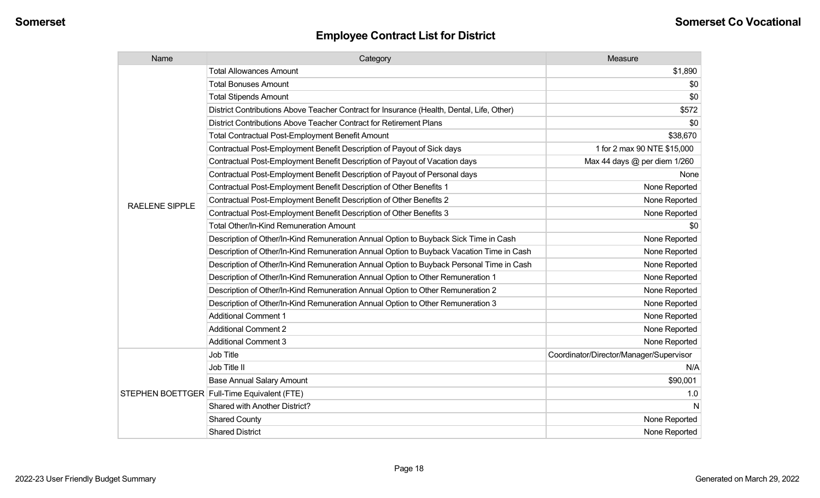| Name                  | Category                                                                                  | Measure                                 |
|-----------------------|-------------------------------------------------------------------------------------------|-----------------------------------------|
|                       | <b>Total Allowances Amount</b>                                                            | \$1,890                                 |
|                       | <b>Total Bonuses Amount</b>                                                               | \$0                                     |
|                       | <b>Total Stipends Amount</b>                                                              | \$0                                     |
|                       | District Contributions Above Teacher Contract for Insurance (Health, Dental, Life, Other) | \$572                                   |
|                       | District Contributions Above Teacher Contract for Retirement Plans                        | \$0                                     |
|                       | <b>Total Contractual Post-Employment Benefit Amount</b>                                   | \$38,670                                |
|                       | Contractual Post-Employment Benefit Description of Payout of Sick days                    | 1 for 2 max 90 NTE \$15,000             |
|                       | Contractual Post-Employment Benefit Description of Payout of Vacation days                | Max 44 days @ per diem 1/260            |
|                       | Contractual Post-Employment Benefit Description of Payout of Personal days                | None                                    |
|                       | Contractual Post-Employment Benefit Description of Other Benefits 1                       | None Reported                           |
| <b>RAELENE SIPPLE</b> | Contractual Post-Employment Benefit Description of Other Benefits 2                       | None Reported                           |
|                       | Contractual Post-Employment Benefit Description of Other Benefits 3                       | None Reported                           |
|                       | Total Other/In-Kind Remuneration Amount                                                   | \$0                                     |
|                       | Description of Other/In-Kind Remuneration Annual Option to Buyback Sick Time in Cash      | None Reported                           |
|                       | Description of Other/In-Kind Remuneration Annual Option to Buyback Vacation Time in Cash  | None Reported                           |
|                       | Description of Other/In-Kind Remuneration Annual Option to Buyback Personal Time in Cash  | None Reported                           |
|                       | Description of Other/In-Kind Remuneration Annual Option to Other Remuneration 1           | None Reported                           |
|                       | Description of Other/In-Kind Remuneration Annual Option to Other Remuneration 2           | None Reported                           |
|                       | Description of Other/In-Kind Remuneration Annual Option to Other Remuneration 3           | None Reported                           |
|                       | <b>Additional Comment 1</b>                                                               | None Reported                           |
|                       | <b>Additional Comment 2</b>                                                               | None Reported                           |
|                       | <b>Additional Comment 3</b>                                                               | None Reported                           |
|                       | Job Title                                                                                 | Coordinator/Director/Manager/Supervisor |
|                       | Job Title II                                                                              | N/A                                     |
|                       | <b>Base Annual Salary Amount</b>                                                          | \$90,001                                |
|                       | STEPHEN BOETTGER Full-Time Equivalent (FTE)                                               | 1.0                                     |
|                       | Shared with Another District?                                                             | N                                       |
|                       | <b>Shared County</b>                                                                      | None Reported                           |
|                       | <b>Shared District</b>                                                                    | None Reported                           |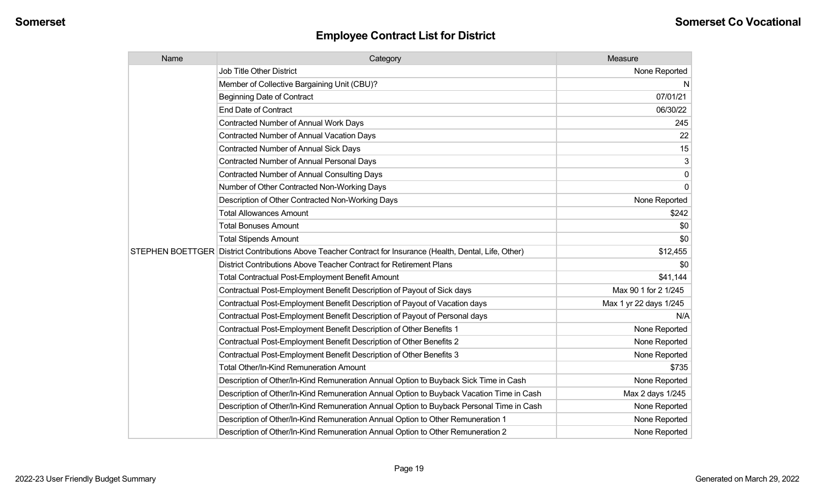| Name | Category                                                                                                   | Measure                |
|------|------------------------------------------------------------------------------------------------------------|------------------------|
|      | <b>Job Title Other District</b>                                                                            | None Reported          |
|      | Member of Collective Bargaining Unit (CBU)?                                                                | N                      |
|      | <b>Beginning Date of Contract</b>                                                                          | 07/01/21               |
|      | <b>End Date of Contract</b>                                                                                | 06/30/22               |
|      | <b>Contracted Number of Annual Work Days</b>                                                               | 245                    |
|      | <b>Contracted Number of Annual Vacation Days</b>                                                           | 22                     |
|      | Contracted Number of Annual Sick Days                                                                      | 15                     |
|      | <b>Contracted Number of Annual Personal Days</b>                                                           | 3                      |
|      | <b>Contracted Number of Annual Consulting Days</b>                                                         | 0                      |
|      | Number of Other Contracted Non-Working Days                                                                | $\Omega$               |
|      | Description of Other Contracted Non-Working Days                                                           | None Reported          |
|      | <b>Total Allowances Amount</b>                                                                             | \$242                  |
|      | <b>Total Bonuses Amount</b>                                                                                | \$0                    |
|      | <b>Total Stipends Amount</b>                                                                               | \$0                    |
|      | STEPHEN BOETTGER District Contributions Above Teacher Contract for Insurance (Health, Dental, Life, Other) | \$12,455               |
|      | District Contributions Above Teacher Contract for Retirement Plans                                         | \$0                    |
|      | <b>Total Contractual Post-Employment Benefit Amount</b>                                                    | \$41,144               |
|      | Contractual Post-Employment Benefit Description of Payout of Sick days                                     | Max 90 1 for 2 1/245   |
|      | Contractual Post-Employment Benefit Description of Payout of Vacation days                                 | Max 1 yr 22 days 1/245 |
|      | Contractual Post-Employment Benefit Description of Payout of Personal days                                 | N/A                    |
|      | Contractual Post-Employment Benefit Description of Other Benefits 1                                        | None Reported          |
|      | Contractual Post-Employment Benefit Description of Other Benefits 2                                        | None Reported          |
|      | Contractual Post-Employment Benefit Description of Other Benefits 3                                        | None Reported          |
|      | Total Other/In-Kind Remuneration Amount                                                                    | \$735                  |
|      | Description of Other/In-Kind Remuneration Annual Option to Buyback Sick Time in Cash                       | None Reported          |
|      | Description of Other/In-Kind Remuneration Annual Option to Buyback Vacation Time in Cash                   | Max 2 days 1/245       |
|      | Description of Other/In-Kind Remuneration Annual Option to Buyback Personal Time in Cash                   | None Reported          |
|      | Description of Other/In-Kind Remuneration Annual Option to Other Remuneration 1                            | None Reported          |
|      | Description of Other/In-Kind Remuneration Annual Option to Other Remuneration 2                            | None Reported          |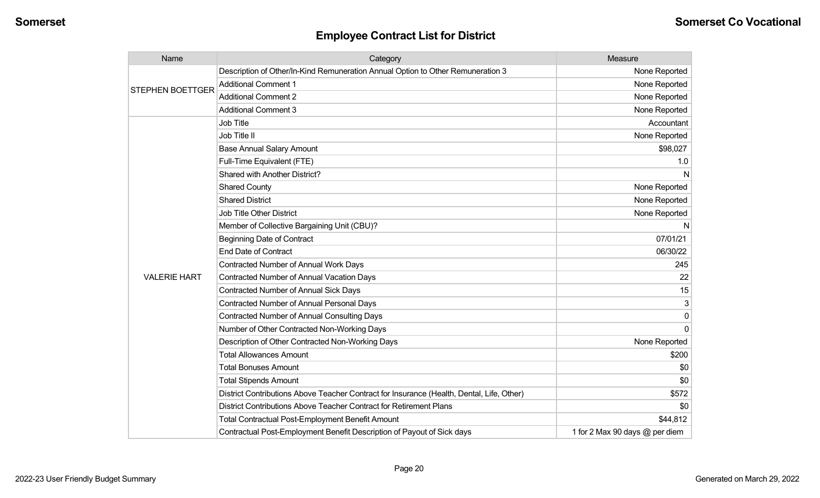| Name                    | Category                                                                                  | Measure                        |
|-------------------------|-------------------------------------------------------------------------------------------|--------------------------------|
| <b>STEPHEN BOETTGER</b> | Description of Other/In-Kind Remuneration Annual Option to Other Remuneration 3           | None Reported                  |
|                         | <b>Additional Comment 1</b>                                                               | None Reported                  |
|                         | <b>Additional Comment 2</b>                                                               | None Reported                  |
|                         | <b>Additional Comment 3</b>                                                               | None Reported                  |
|                         | Job Title                                                                                 | Accountant                     |
|                         | Job Title II                                                                              | None Reported                  |
|                         | <b>Base Annual Salary Amount</b>                                                          | \$98,027                       |
|                         | Full-Time Equivalent (FTE)                                                                | 1.0                            |
|                         | Shared with Another District?                                                             | <sub>N</sub>                   |
|                         | <b>Shared County</b>                                                                      | None Reported                  |
|                         | <b>Shared District</b>                                                                    | None Reported                  |
|                         | Job Title Other District                                                                  | None Reported                  |
|                         | Member of Collective Bargaining Unit (CBU)?                                               | <sub>N</sub>                   |
|                         | <b>Beginning Date of Contract</b>                                                         | 07/01/21                       |
|                         | <b>End Date of Contract</b>                                                               | 06/30/22                       |
|                         | Contracted Number of Annual Work Days                                                     | 245                            |
| <b>VALERIE HART</b>     | Contracted Number of Annual Vacation Days                                                 | 22                             |
|                         | <b>Contracted Number of Annual Sick Days</b>                                              | 15                             |
|                         | <b>Contracted Number of Annual Personal Days</b>                                          | 3                              |
|                         | <b>Contracted Number of Annual Consulting Days</b>                                        | $\Omega$                       |
|                         | Number of Other Contracted Non-Working Days                                               | $\Omega$                       |
|                         | Description of Other Contracted Non-Working Days                                          | None Reported                  |
|                         | <b>Total Allowances Amount</b>                                                            | \$200                          |
|                         | <b>Total Bonuses Amount</b>                                                               | \$0                            |
|                         | <b>Total Stipends Amount</b>                                                              | \$0                            |
|                         | District Contributions Above Teacher Contract for Insurance (Health, Dental, Life, Other) | \$572                          |
|                         | District Contributions Above Teacher Contract for Retirement Plans                        | \$0                            |
|                         | <b>Total Contractual Post-Employment Benefit Amount</b>                                   | \$44,812                       |
|                         | Contractual Post-Employment Benefit Description of Payout of Sick days                    | 1 for 2 Max 90 days @ per diem |